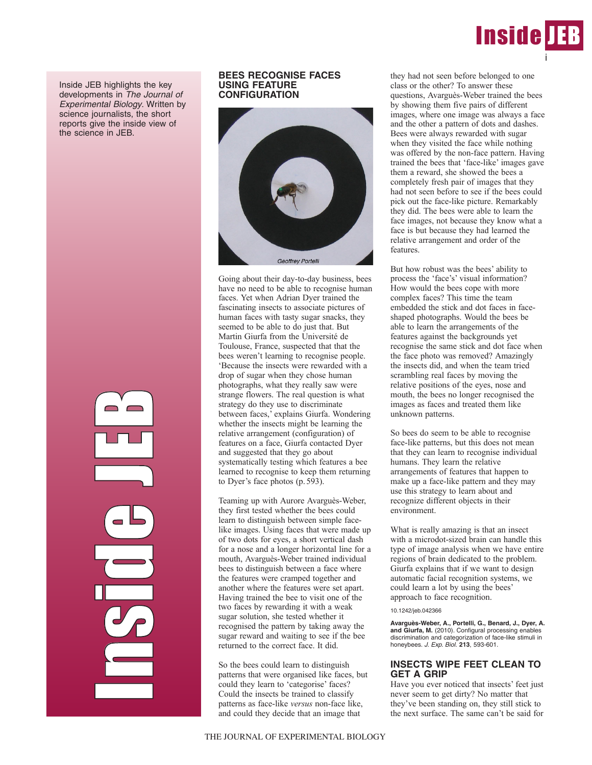

Inside JEB highlights the key developments in The Journal of Experimental Biology. Written by science journalists, the short reports give the inside view of the science in JEB.

> **Industrial n**  $\mathcal{C}_{\mathcal{P}}$ in 1999 and 1999 d<br>J e J EP)

### **BEES RECOGNISE FACES USING FEATURE CONFIGURATION**



Going about their day-to-day business, bees have no need to be able to recognise human faces. Yet when Adrian Dyer trained the fascinating insects to associate pictures of human faces with tasty sugar snacks, they seemed to be able to do just that. But Martin Giurfa from the Université de Toulouse, France, suspected that that the bees weren't learning to recognise people. 'Because the insects were rewarded with a drop of sugar when they chose human photographs, what they really saw were strange flowers. The real question is what strategy do they use to discriminate between faces,' explains Giurfa. Wondering whether the insects might be learning the relative arrangement (configuration) of features on a face, Giurfa contacted Dyer and suggested that they go about systematically testing which features a bee learned to recognise to keep them returning to Dyer's face photos (p. 593).

Teaming up with Aurore Avarguès-Weber, they first tested whether the bees could learn to distinguish between simple facelike images. Using faces that were made up of two dots for eyes, a short vertical dash for a nose and a longer horizontal line for a mouth, Avarguès-Weber trained individual bees to distinguish between a face where the features were cramped together and another where the features were set apart. Having trained the bee to visit one of the two faces by rewarding it with a weak sugar solution, she tested whether it recognised the pattern by taking away the sugar reward and waiting to see if the bee returned to the correct face. It did.

So the bees could learn to distinguish patterns that were organised like faces, but could they learn to 'categorise' faces? Could the insects be trained to classify patterns as face-like *versus* non-face like, and could they decide that an image that

they had not seen before belonged to one class or the other? To answer these questions, Avarguès-Weber trained the bees by showing them five pairs of different images, where one image was always a face and the other a pattern of dots and dashes. Bees were always rewarded with sugar when they visited the face while nothing was offered by the non-face pattern. Having trained the bees that 'face-like' images gave them a reward, she showed the bees a completely fresh pair of images that they had not seen before to see if the bees could pick out the face-like picture. Remarkably they did. The bees were able to learn the face images, not because they know what a face is but because they had learned the relative arrangement and order of the features.

But how robust was the bees' ability to process the 'face's' visual information? How would the bees cope with more complex faces? This time the team embedded the stick and dot faces in faceshaped photographs. Would the bees be able to learn the arrangements of the features against the backgrounds yet recognise the same stick and dot face when the face photo was removed? Amazingly the insects did, and when the team tried scrambling real faces by moving the relative positions of the eyes, nose and mouth, the bees no longer recognised the images as faces and treated them like unknown patterns.

So bees do seem to be able to recognise face-like patterns, but this does not mean that they can learn to recognise individual humans. They learn the relative arrangements of features that happen to make up a face-like pattern and they may use this strategy to learn about and recognize different objects in their environment.

What is really amazing is that an insect with a microdot-sized brain can handle this type of image analysis when we have entire regions of brain dedicated to the problem. Giurfa explains that if we want to design automatic facial recognition systems, we could learn a lot by using the bees' approach to face recognition.

## 10.1242/jeb.042366

**Avarguès-Weber, A., Portelli, G., Benard, J., Dyer, A. and Giurfa, M.** (2010). Configural processing enables discrimination and categorization of face-like stimuli in honeybees. J. Exp. Biol. **213**, 593-601.

## **INSECTS WIPE FEET CLEAN TO GET A GRIP**

Have you ever noticed that insects' feet just never seem to get dirty? No matter that they've been standing on, they still stick to the next surface. The same can't be said for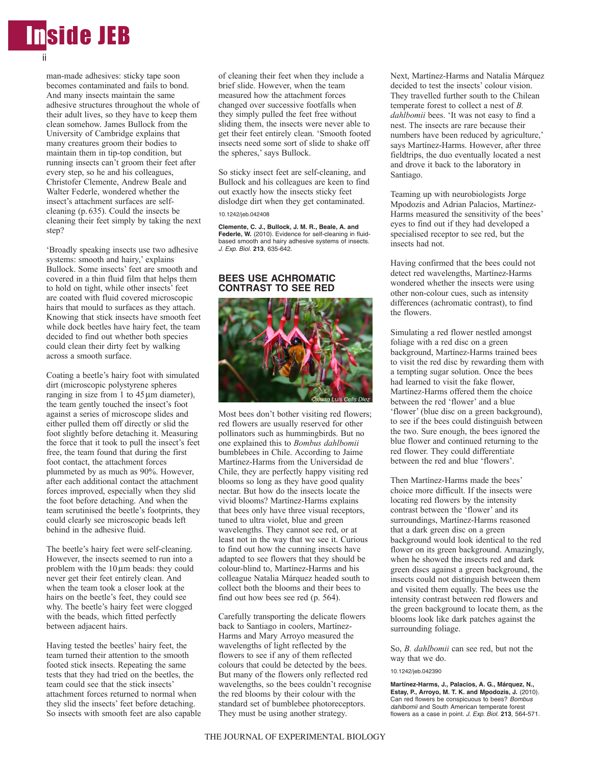

man-made adhesives: sticky tape soon becomes contaminated and fails to bond. And many insects maintain the same adhesive structures throughout the whole of their adult lives, so they have to keep them clean somehow. James Bullock from the University of Cambridge explains that many creatures groom their bodies to maintain them in tip-top condition, but running insects can't groom their feet after every step, so he and his colleagues, Christofer Clemente, Andrew Beale and Walter Federle, wondered whether the insect's attachment surfaces are selfcleaning (p. 635). Could the insects be cleaning their feet simply by taking the next step?

'Broadly speaking insects use two adhesive systems: smooth and hairy,' explains Bullock. Some insects' feet are smooth and covered in a thin fluid film that helps them to hold on tight, while other insects' feet are coated with fluid covered microscopic hairs that mould to surfaces as they attach. Knowing that stick insects have smooth feet while dock beetles have hairy feet, the team decided to find out whether both species could clean their dirty feet by walking across a smooth surface.

Coating a beetle's hairy foot with simulated dirt (microscopic polystyrene spheres ranging in size from 1 to  $45 \mu m$  diameter), the team gently touched the insect's foot against a series of microscope slides and either pulled them off directly or slid the foot slightly before detaching it. Measuring the force that it took to pull the insect's feet free, the team found that during the first foot contact, the attachment forces plummeted by as much as 90%. However, after each additional contact the attachment forces improved, especially when they slid the foot before detaching. And when the team scrutinised the beetle's footprints, they could clearly see microscopic beads left behind in the adhesive fluid.

The beetle's hairy feet were self-cleaning. However, the insects seemed to run into a problem with the  $10 \mu m$  beads: they could never get their feet entirely clean. And when the team took a closer look at the hairs on the beetle's feet, they could see why. The beetle's hairy feet were clogged with the beads, which fitted perfectly between adjacent hairs.

Having tested the beetles' hairy feet, the team turned their attention to the smooth footed stick insects. Repeating the same tests that they had tried on the beetles, the team could see that the stick insects' attachment forces returned to normal when they slid the insects' feet before detaching. So insects with smooth feet are also capable

of cleaning their feet when they include a brief slide. However, when the team measured how the attachment forces changed over successive footfalls when they simply pulled the feet free without sliding them, the insects were never able to get their feet entirely clean. 'Smooth footed insects need some sort of slide to shake off the spheres,' says Bullock.

So sticky insect feet are self-cleaning, and Bullock and his colleagues are keen to find out exactly how the insects sticky feet dislodge dirt when they get contaminated.

10.1242/jeb.042408

**Clemente, C. J., Bullock, J. M. R., Beale, A. and** Federle, W. (2010). Evidence for self-cleaning in fluidbased smooth and hairy adhesive systems of insects. J. Exp. Biol. **213**, 635-642.

## **BEES USE ACHROMATIC CONTRAST TO SEE RED**



Most bees don't bother visiting red flowers; red flowers are usually reserved for other pollinators such as hummingbirds. But no one explained this to *Bombus dahlbomii* bumblebees in Chile. According to Jaime Martínez-Harms from the Universidad de Chile, they are perfectly happy visiting red blooms so long as they have good quality nectar. But how do the insects locate the vivid blooms? Martínez-Harms explains that bees only have three visual receptors, tuned to ultra violet, blue and green wavelengths. They cannot see red, or at least not in the way that we see it. Curious to find out how the cunning insects have adapted to see flowers that they should be colour-blind to, Martínez-Harms and his colleague Natalia Márquez headed south to collect both the blooms and their bees to find out how bees see red (p. 564).

Carefully transporting the delicate flowers back to Santiago in coolers, Martínez-Harms and Mary Arroyo measured the wavelengths of light reflected by the flowers to see if any of them reflected colours that could be detected by the bees. But many of the flowers only reflected red wavelengths, so the bees couldn't recognise the red blooms by their colour with the standard set of bumblebee photoreceptors. They must be using another strategy.

Next, Martínez-Harms and Natalia Márquez decided to test the insects' colour vision. They travelled further south to the Chilean temperate forest to collect a nest of *B. dahlbomii* bees. 'It was not easy to find a nest. The insects are rare because their numbers have been reduced by agriculture,' says Martínez-Harms. However, after three fieldtrips, the duo eventually located a nest and drove it back to the laboratory in Santiago.

Teaming up with neurobiologists Jorge Mpodozis and Adrian Palacios, Martínez-Harms measured the sensitivity of the bees' eyes to find out if they had developed a specialised receptor to see red, but the insects had not.

Having confirmed that the bees could not detect red wavelengths, Martínez-Harms wondered whether the insects were using other non-colour cues, such as intensity differences (achromatic contrast), to find the flowers.

Simulating a red flower nestled amongst foliage with a red disc on a green background, Martínez-Harms trained bees to visit the red disc by rewarding them with a tempting sugar solution. Once the bees had learned to visit the fake flower, Martínez-Harms offered them the choice between the red 'flower' and a blue 'flower' (blue disc on a green background), to see if the bees could distinguish between the two. Sure enough, the bees ignored the blue flower and continued returning to the red flower. They could differentiate between the red and blue 'flowers'.

Then Martínez-Harms made the bees' choice more difficult. If the insects were locating red flowers by the intensity contrast between the 'flower' and its surroundings, Martínez-Harms reasoned that a dark green disc on a green background would look identical to the red flower on its green background. Amazingly, when he showed the insects red and dark green discs against a green background, the insects could not distinguish between them and visited them equally. The bees use the intensity contrast between red flowers and the green background to locate them, as the blooms look like dark patches against the surrounding foliage.

So, *B. dahlbomii* can see red, but not the way that we do.

### 10.1242/jeb.042390

**Martínez-Harms, J., Palacios, A. G., Márquez, N., Estay, P., Arroyo, M. T. K. and Mpodozis, J.** (2010). Can red flowers be conspicuous to bees? Bombus dahlbomii and South American temperate forest flowers as a case in point. J. Exp. Biol. **213**, 564-571.